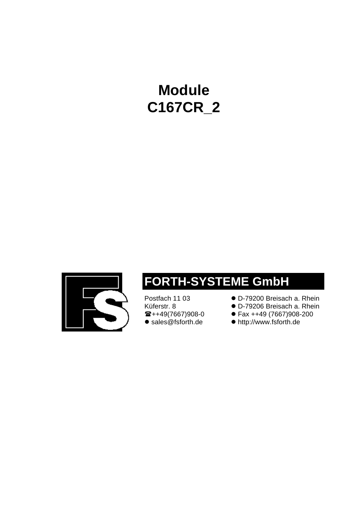# **Module C167CR\_2**



# **FORTH-SYSTEME GmbH**

Küferstr. 8 **composite COD-79206** Breisach a. Rhein<br> **2** h +49(7667)908-0 **c** Fax ++49 (7667)908-200 • sales@fsforth.de • http://www.fsforth.de

- Postfach 11 03 **. D-79200 Breisach a. Rhein** 
	-
	- (++49(7667)908-0 l Fax ++49 (7667)908-200
	-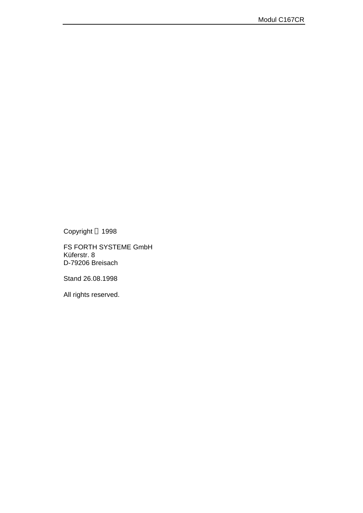Copyright © 1998

FS FORTH SYSTEME GmbH Küferstr. 8 D-79206 Breisach

Stand 26.08.1998

All rights reserved.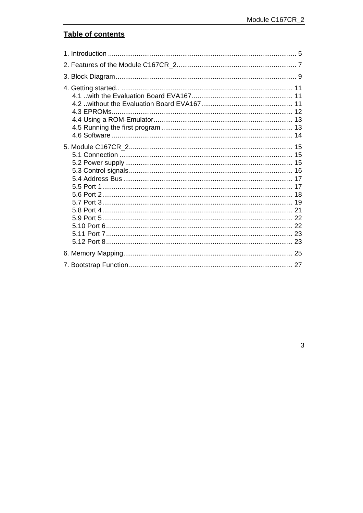# Table of contents

| 5.9 Port 5……………………………………………………………………………………… 22 |  |
|------------------------------------------------|--|
|                                                |  |
|                                                |  |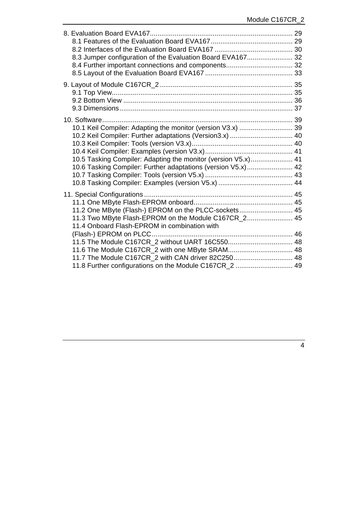| 8.3 Jumper configuration of the Evaluation Board EVA167 32                                                                                                                                                                                                                                                                      |  |
|---------------------------------------------------------------------------------------------------------------------------------------------------------------------------------------------------------------------------------------------------------------------------------------------------------------------------------|--|
|                                                                                                                                                                                                                                                                                                                                 |  |
| 10.1 Keil Compiler: Adapting the monitor (version V3.x)  39<br>10.2 Keil Compiler: Further adaptations (Version3.x)  40<br>10.5 Tasking Compiler: Adapting the monitor (version V5.x) 41<br>10.6 Tasking Compiler: Further adaptations (version V5.x) 42                                                                        |  |
| 11.2 One MByte (Flash-) EPROM on the PLCC-sockets 45<br>11.3 Two MByte Flash-EPROM on the Module C167CR_2 45<br>11.4 Onboard Flash-EPROM in combination with<br>11.6 The Module C167CR_2 with one MByte SRAM 48<br>11.7 The Module C167CR_2 with CAN driver 82C250 48<br>11.8 Further configurations on the Module C167CR_2  49 |  |
|                                                                                                                                                                                                                                                                                                                                 |  |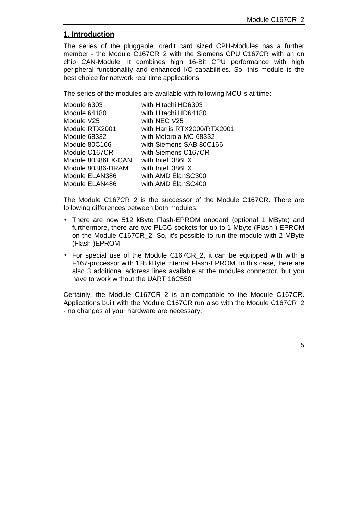# **1. Introduction**

The series of the pluggable, credit card sized CPU-Modules has a further member - the Module C167CR\_2 with the Siemens CPU C167CR with an on chip CAN-Module. It combines high 16-Bit CPU performance with high peripheral functionality and enhanced I/O-capabilities. So, this module is the best choice for network real time applications.

The series of the modules are available with following MCU´s at time:

| Module 6303        | with Hitachi HD6303         |
|--------------------|-----------------------------|
| Module 64180       | with Hitachi HD64180        |
| Module V25         | with NEC V25                |
| Module RTX2001     | with Harris RTX2000/RTX2001 |
| Module 68332       | with Motorola MC 68332      |
| Module 80C166      | with Siemens SAB 80C166     |
| Module C167CR      | with Siemens C167CR         |
| Module 80386EX-CAN | with Intel i386EX           |
| Module 80386-DRAM  | with Intel i386EX           |
| Module ELAN386     | with AMD ElanSC300          |
| Module ELAN486     | with AMD ElanSC400          |

The Module C167CR\_2 is the successor of the Module C167CR. There are following differences between both modules:

- There are now 512 kByte Flash-EPROM onboard (optional 1 MByte) and furthermore, there are two PLCC-sockets for up to 1 Mbyte (Flash-) EPROM on the Module C167CR\_2. So, it's possible to run the module with 2 MByte (Flash-)EPROM.
- For special use of the Module C167CR\_2, it can be equipped with with a F167-processor with 128 kByte internal Flash-EPROM. In this case, there are also 3 additional address lines available at the modules connector, but you have to work without the UART 16C550

Certainly, the Module C167CR\_2 is pin-compatible to the Module C167CR. Applications built with the Module C167CR run also with the Module C167CR\_2 - no changes at your hardware are necessary.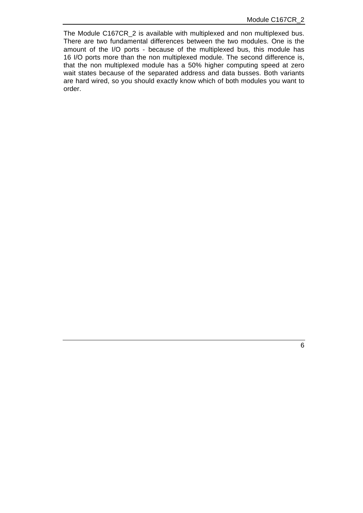The Module C167CR\_2 is available with multiplexed and non multiplexed bus. There are two fundamental differences between the two modules. One is the amount of the I/O ports - because of the multiplexed bus, this module has 16 I/O ports more than the non multiplexed module. The second difference is, that the non multiplexed module has a 50% higher computing speed at zero wait states because of the separated address and data busses. Both variants are hard wired, so you should exactly know which of both modules you want to order.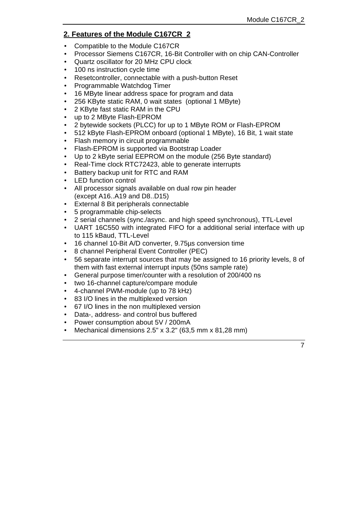# **2. Features of the Module C167CR\_2**

- Compatible to the Module C167CR
- Processor Siemens C167CR, 16-Bit Controller with on chip CAN-Controller
- Quartz oscillator for 20 MHz CPU clock
- 100 ns instruction cycle time
- Resetcontroller, connectable with a push-button Reset
- Programmable Watchdog Timer
- 16 MByte linear address space for program and data
- 256 KByte static RAM, 0 wait states (optional 1 MByte)
- 2 KByte fast static RAM in the CPU
- up to 2 MByte Flash-EPROM
- 2 bytewide sockets (PLCC) for up to 1 MByte ROM or Flash-EPROM
- 512 kByte Flash-EPROM onboard (optional 1 MByte), 16 Bit, 1 wait state
- Flash memory in circuit programmable
- Flash-EPROM is supported via Bootstrap Loader
- Up to 2 kByte serial EEPROM on the module (256 Byte standard)
- Real-Time clock RTC72423, able to generate interrupts
- Battery backup unit for RTC and RAM
- LED function control
- All processor signals available on dual row pin header (except A16..A19 and D8..D15)
- External 8 Bit peripherals connectable
- 5 programmable chip-selects
- 2 serial channels (sync./async. and high speed synchronous), TTL-Level
- UART 16C550 with integrated FIFO for a additional serial interface with up to 115 kBaud, TTL-Level
- 16 channel 10-Bit A/D converter, 9.75µs conversion time
- 8 channel Peripheral Event Controller (PEC)
- 56 separate interrupt sources that may be assigned to 16 priority levels, 8 of them with fast external interrupt inputs (50ns sample rate)
- General purpose timer/counter with a resolution of 200/400 ns
- two 16-channel capture/compare module
- 4-channel PWM-module (up to 78 kHz)
- 83 I/O lines in the multiplexed version
- 67 I/O lines in the non multiplexed version
- Data-, address- and control bus buffered
- Power consumption about 5V / 200mA
- Mechanical dimensions 2.5" x 3.2" (63,5 mm x 81,28 mm)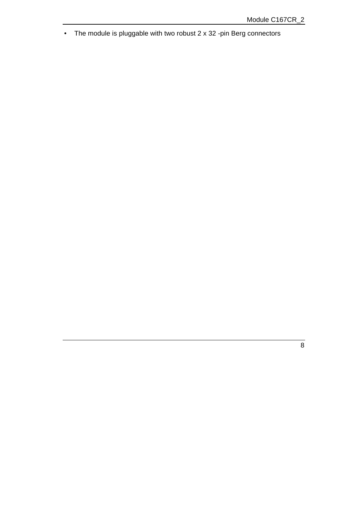• The module is pluggable with two robust 2 x 32 -pin Berg connectors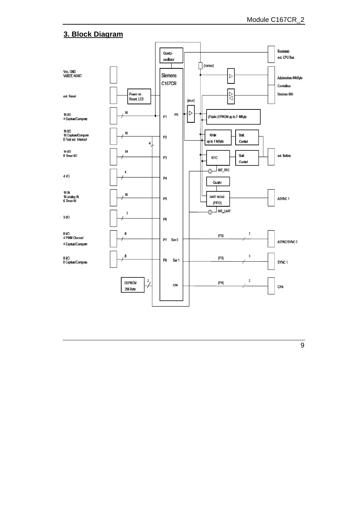# **3. Block Diagram**



9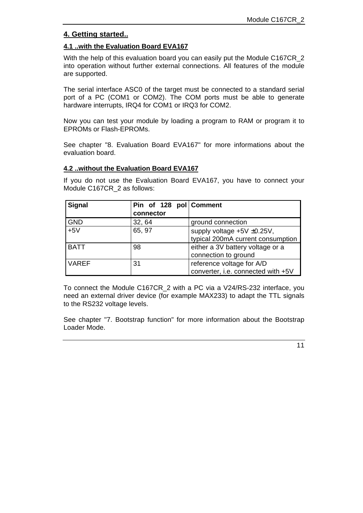# **4. Getting started..**

#### **4.1 ..with the Evaluation Board EVA167**

With the help of this evaluation board you can easily put the Module C167CR 2 into operation without further external connections. All features of the module are supported.

The serial interface ASC0 of the target must be connected to a standard serial port of a PC (COM1 or COM2). The COM ports must be able to generate hardware interrupts, IRQ4 for COM1 or IRQ3 for COM2.

Now you can test your module by loading a program to RAM or program it to EPROMs or Flash-EPROMs.

See chapter "8. Evaluation Board EVA167" for more informations about the evaluation board.

# **4.2 ..without the Evaluation Board EVA167**

If you do not use the Evaluation Board EVA167, you have to connect your Module C167CR\_2 as follows:

| <b>Signal</b> | Pin of 128 pol Comment |                                    |
|---------------|------------------------|------------------------------------|
|               | connector              |                                    |
| <b>GND</b>    | 32, 64                 | ground connection                  |
| $+5V$         | 65, 97                 | supply voltage $+5V \pm 0.25V$ ,   |
|               |                        | typical 200mA current consumption  |
| <b>BATT</b>   | 98                     | either a 3V battery voltage or a   |
|               |                        | connection to ground               |
| <b>VAREF</b>  | 31                     | reference voltage for A/D          |
|               |                        | converter, i.e. connected with +5V |

To connect the Module C167CR\_2 with a PC via a V24/RS-232 interface, you need an external driver device (for example MAX233) to adapt the TTL signals to the RS232 voltage levels.

See chapter "7. Bootstrap function" for more information about the Bootstrap Loader Mode.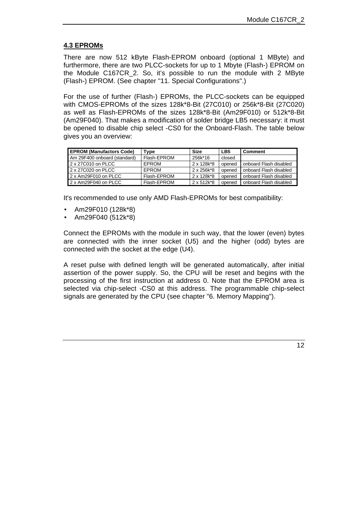# **4.3 EPROMs**

There are now 512 kByte Flash-EPROM onboard (optional 1 MByte) and furthermore, there are two PLCC-sockets for up to 1 Mbyte (Flash-) EPROM on the Module C167CR\_2. So, it's possible to run the module with 2 MByte (Flash-) EPROM. (See chapter "11. Special Configurations".)

For the use of further (Flash-) EPROMs, the PLCC-sockets can be equipped with CMOS-EPROMs of the sizes 128k\*8-Bit (27C010) or 256k\*8-Bit (27C020) as well as Flash-EPROMs of the sizes 128k\*8-Bit (Am29F010) or 512k\*8-Bit (Am29F040). That makes a modification of solder bridge LB5 necessary: it must be opened to disable chip select -CS0 for the Onboard-Flash. The table below gives you an overview:

| <b>EPROM (Manufactors Code)</b> | Tvpe         | <b>Size</b> | LB <sub>5</sub> | Comment                |
|---------------------------------|--------------|-------------|-----------------|------------------------|
| Am 29F400 onboard (standard)    | Flash-EPROM  | 256k*16     | closed          |                        |
| 2 x 27C010 on PLCC              | EPROM        | 2 x 128k*8  | opened          | onboard Flash disabled |
| 2 x 27C020 on PLCC              | <b>FPROM</b> | 2 x 256k*8  | opened          | onboard Flash disabled |
| 2 x Am29F010 on PLCC            | Flash-EPROM  | 2 x 128k*8  | opened          | onboard Flash disabled |
| 2 x Am29F040 on PLCC            | Flash-EPROM  | 2 x 512k*8  | opened          | onboard Flash disabled |

It's recommended to use only AMD Flash-EPROMs for best compatibility:

- Am29F010 (128k\*8)
- Am29F040 (512k\*8)

Connect the EPROMs with the module in such way, that the lower (even) bytes are connected with the inner socket (U5) and the higher (odd) bytes are connected with the socket at the edge (U4).

A reset pulse with defined length will be generated automatically, after initial assertion of the power supply. So, the CPU will be reset and begins with the processing of the first instruction at address 0. Note that the EPROM area is selected via chip-select -CS0 at this address. The programmable chip-select signals are generated by the CPU (see chapter "6. Memory Mapping").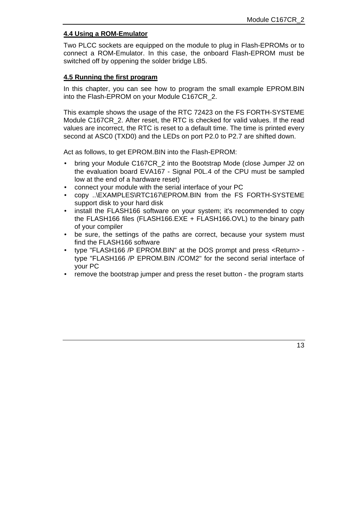#### **4.4 Using a ROM-Emulator**

Two PLCC sockets are equipped on the module to plug in Flash-EPROMs or to connect a ROM-Emulator. In this case, the onboard Flash-EPROM must be switched off by oppening the solder bridge LB5.

#### **4.5 Running the first program**

In this chapter, you can see how to program the small example EPROM.BIN into the Flash-EPROM on your Module C167CR\_2.

This example shows the usage of the RTC 72423 on the FS FORTH-SYSTEME Module C167CR\_2. After reset, the RTC is checked for valid values. If the read values are incorrect, the RTC is reset to a default time. The time is printed every second at ASC0 (TXD0) and the LEDs on port P2.0 to P2.7 are shifted down.

Act as follows, to get EPROM.BIN into the Flash-EPROM:

- bring your Module C167CR\_2 into the Bootstrap Mode (close Jumper J2 on the evaluation board EVA167 - Signal P0L.4 of the CPU must be sampled low at the end of a hardware reset)
- connect your module with the serial interface of your PC
- copy ..\EXAMPLES\RTC167\EPROM.BIN from the FS FORTH-SYSTEME support disk to your hard disk
- install the FLASH166 software on your system; it's recommended to copy the FLASH166 files (FLASH166.EXE + FLASH166.OVL) to the binary path of your compiler
- be sure, the settings of the paths are correct, because your system must find the FLASH166 software
- type "FLASH166 /P EPROM.BIN" at the DOS prompt and press <Return> type "FLASH166 /P EPROM.BIN /COM2" for the second serial interface of your PC
- remove the bootstrap jumper and press the reset button the program starts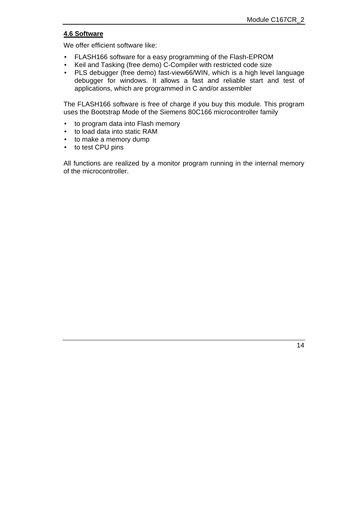# **4.6 Software**

We offer efficient software like:

- FLASH166 software for a easy programming of the Flash-EPROM
- Keil and Tasking (free demo) C-Compiler with restricted code size
- PLS debugger (free demo) fast-view66/WIN, which is a high level language debugger for windows. It allows a fast and reliable start and test of applications, which are programmed in C and/or assembler

The FLASH166 software is free of charge if you buy this module. This program uses the Bootstrap Mode of the Siemens 80C166 microcontroller family

- to program data into Flash memory
- to load data into static RAM
- to make a memory dump
- to test CPU pins

All functions are realized by a monitor program running in the internal memory of the microcontroller.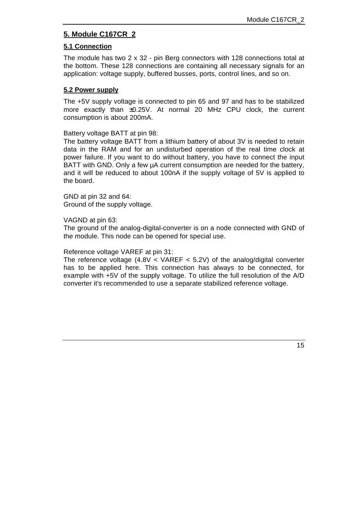# **5. Module C167CR\_2**

## **5.1 Connection**

The module has two 2 x 32 - pin Berg connectors with 128 connections total at the bottom. These 128 connections are containing all necessary signals for an application: voltage supply, buffered busses, ports, control lines, and so on.

#### **5.2 Power supply**

The +5V supply voltage is connected to pin 65 and 97 and has to be stabilized more exactly than ±0.25V. At normal 20 MHz CPU clock, the current consumption is about 200mA.

Battery voltage BATT at pin 98:

The battery voltage BATT from a lithium battery of about 3V is needed to retain data in the RAM and for an undisturbed operation of the real time clock at power failure. If you want to do without battery, you have to connect the input BATT with GND. Only a few  $\mu$ A current consumption are needed for the battery, and it will be reduced to about 100nA if the supply voltage of 5V is applied to the board.

GND at pin 32 and 64: Ground of the supply voltage.

VAGND at pin 63:

The ground of the analog-digital-converter is on a node connected with GND of the module. This node can be opened for special use.

#### Reference voltage VAREF at pin 31:

The reference voltage  $(4.8V < VAREF < 5.2V)$  of the analog/digital converter has to be applied here. This connection has always to be connected, for example with +5V of the supply voltage. To utilize the full resolution of the A/D converter it's recommended to use a separate stabilized reference voltage.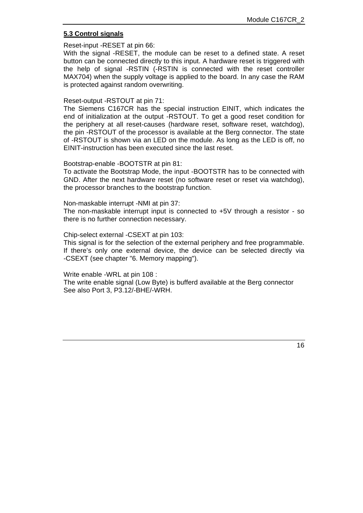## **5.3 Control signals**

Reset-input -RESET at pin 66:

With the signal -RESET, the module can be reset to a defined state. A reset button can be connected directly to this input. A hardware reset is triggered with the help of signal -RSTIN (-RSTIN is connected with the reset controller MAX704) when the supply voltage is applied to the board. In any case the RAM is protected against random overwriting.

#### Reset-output -RSTOUT at pin 71:

The Siemens C167CR has the special instruction EINIT, which indicates the end of initialization at the output -RSTOUT. To get a good reset condition for the periphery at all reset-causes (hardware reset, software reset, watchdog), the pin -RSTOUT of the processor is available at the Berg connector. The state of -RSTOUT is shown via an LED on the module. As long as the LED is off, no EINIT-instruction has been executed since the last reset.

#### Bootstrap-enable -BOOTSTR at pin 81:

To activate the Bootstrap Mode, the input -BOOTSTR has to be connected with GND. After the next hardware reset (no software reset or reset via watchdog), the processor branches to the bootstrap function.

Non-maskable interrupt -NMI at pin 37:

The non-maskable interrupt input is connected to +5V through a resistor - so there is no further connection necessary.

#### Chip-select external -CSEXT at pin 103:

This signal is for the selection of the external periphery and free programmable. If there's only one external device, the device can be selected directly via -CSEXT (see chapter "6. Memory mapping").

Write enable -WRL at pin 108 :

The write enable signal (Low Byte) is bufferd available at the Berg connector See also Port 3, P3.12/-BHE/-WRH.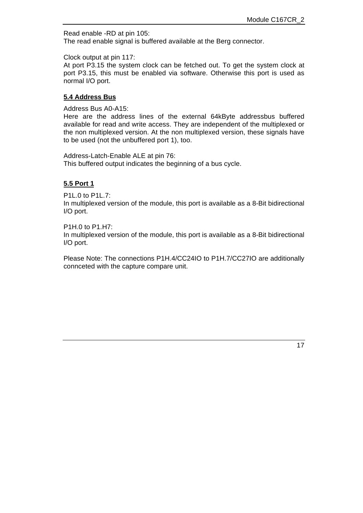Read enable -RD at pin 105: The read enable signal is buffered available at the Berg connector.

Clock output at pin 117:

At port P3.15 the system clock can be fetched out. To get the system clock at port P3.15, this must be enabled via software. Otherwise this port is used as normal I/O port.

#### **5.4 Address Bus**

Address Bus A0-A15:

Here are the address lines of the external 64kByte addressbus buffered available for read and write access. They are independent of the multiplexed or the non multiplexed version. At the non multiplexed version, these signals have to be used (not the unbuffered port 1), too.

Address-Latch-Enable ALE at pin 76: This buffered output indicates the beginning of a bus cycle.

# **5.5 Port 1**

P1L.0 to P1L.7:

In multiplexed version of the module, this port is available as a 8-Bit bidirectional I/O port.

P1H.0 to P1.H7:

In multiplexed version of the module, this port is available as a 8-Bit bidirectional I/O port.

Please Note: The connections P1H.4/CC24IO to P1H.7/CC27IO are additionally connceted with the capture compare unit.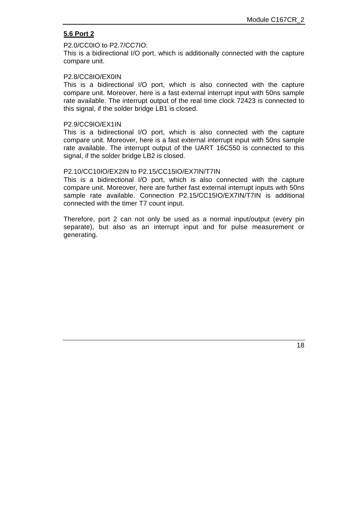#### **5.6 Port 2**

#### P2.0/CC0IO to P2.7/CC7IO:

This is a bidirectional I/O port, which is additionally connected with the capture compare unit.

#### P2.8/CC8IO/EX0IN

This is a bidirectional I/O port, which is also connected with the capture compare unit. Moreover, here is a fast external interrupt input with 50ns sample rate available. The interrupt output of the real time clock 72423 is connected to this signal, if the solder bridge LB1 is closed.

#### P2.9/CC9IO/EX1IN

This is a bidirectional I/O port, which is also connected with the capture compare unit. Moreover, here is a fast external interrupt input with 50ns sample rate available. The interrupt output of the UART 16C550 is connected to this signal, if the solder bridge LB2 is closed.

#### P2.10/CC10IO/EX2IN to P2.15/CC15IO/EX7IN/T7IN

This is a bidirectional I/O port, which is also connected with the capture compare unit. Moreover, here are further fast external interrupt inputs with 50ns sample rate available. Connection P2.15/CC15IO/EX7IN/T7IN is additional connected with the timer T7 count input.

Therefore, port 2 can not only be used as a normal input/output (every pin separate), but also as an interrupt input and for pulse measurement or generating.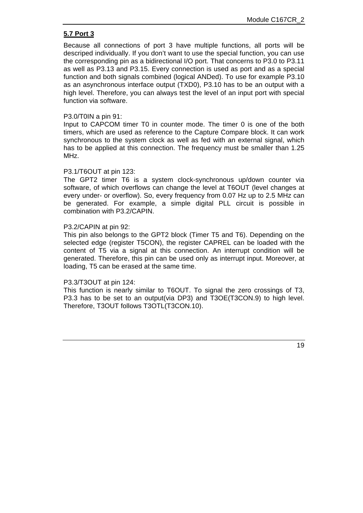#### **5.7 Port 3**

Because all connections of port 3 have multiple functions, all ports will be descriped individually. If you don't want to use the special function, you can use the corresponding pin as a bidirectional I/O port. That concerns to P3.0 to P3.11 as well as P3.13 and P3.15. Every connection is used as port and as a special function and both signals combined (logical ANDed). To use for example P3.10 as an asynchronous interface output (TXD0), P3.10 has to be an output with a high level. Therefore, you can always test the level of an input port with special function via software.

#### P3.0/T0IN a pin 91:

Input to CAPCOM timer T0 in counter mode. The timer 0 is one of the both timers, which are used as reference to the Capture Compare block. It can work synchronous to the system clock as well as fed with an external signal, which has to be applied at this connection. The frequency must be smaller than 1.25 MHz.

#### P3.1/T6OUT at pin 123:

The GPT2 timer T6 is a system clock-synchronous up/down counter via software, of which overflows can change the level at T6OUT (level changes at every under- or overflow). So, every frequency from 0.07 Hz up to 2.5 MHz can be generated. For example, a simple digital PLL circuit is possible in combination with P3.2/CAPIN.

#### P3.2/CAPIN at pin 92:

This pin also belongs to the GPT2 block (Timer T5 and T6). Depending on the selected edge (register T5CON), the register CAPREL can be loaded with the content of T5 via a signal at this connection. An interrupt condition will be generated. Therefore, this pin can be used only as interrupt input. Moreover, at loading, T5 can be erased at the same time.

#### P3.3/T3OUT at pin 124:

This function is nearly similar to T6OUT. To signal the zero crossings of T3, P3.3 has to be set to an output(via DP3) and T3OE(T3CON.9) to high level. Therefore, T3OUT follows T3OTL(T3CON.10).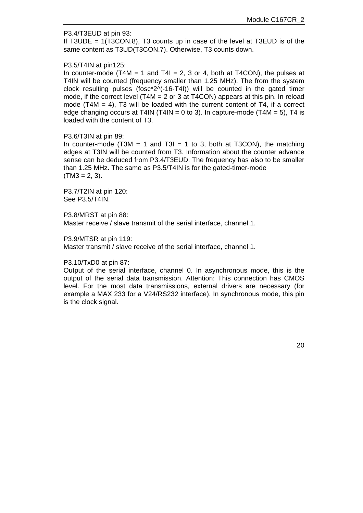#### P3.4/T3EUD at pin 93:

If T3UDE = 1(T3CON.8), T3 counts up in case of the level at T3EUD is of the same content as T3UD(T3CON.7). Otherwise, T3 counts down.

#### P3.5/T4IN at pin125:

In counter-mode (T4M = 1 and T4I = 2, 3 or 4, both at T4CON), the pulses at T4IN will be counted (frequency smaller than 1.25 MHz). The from the system clock resulting pulses (fosc\* $2^o(-16-T4)$ ) will be counted in the gated timer mode, if the correct level (T4M = 2 or 3 at T4CON) appears at this pin. In reload mode (T4M  $=$  4), T3 will be loaded with the current content of T4, if a correct edge changing occurs at T4IN (T4IN = 0 to 3). In capture-mode (T4M = 5), T4 is loaded with the content of T3.

#### P3.6/T3IN at pin 89:

In counter-mode (T3M = 1 and T3I = 1 to 3, both at T3CON), the matching edges at T3IN will be counted from T3. Information about the counter advance sense can be deduced from P3.4/T3EUD. The frequency has also to be smaller than 1.25 MHz. The same as P3.5/T4IN is for the gated-timer-mode  $(TM3 = 2, 3).$ 

P3.7/T2IN at pin 120: See P3.5/T4IN.

P3.8/MRST at pin 88: Master receive / slave transmit of the serial interface, channel 1.

P3.9/MTSR at pin 119: Master transmit / slave receive of the serial interface, channel 1.

#### P3.10/TxD0 at pin 87:

Output of the serial interface, channel 0. In asynchronous mode, this is the output of the serial data transmission. Attention: This connection has CMOS level. For the most data transmissions, external drivers are necessary (for example a MAX 233 for a V24/RS232 interface). In synchronous mode, this pin is the clock signal.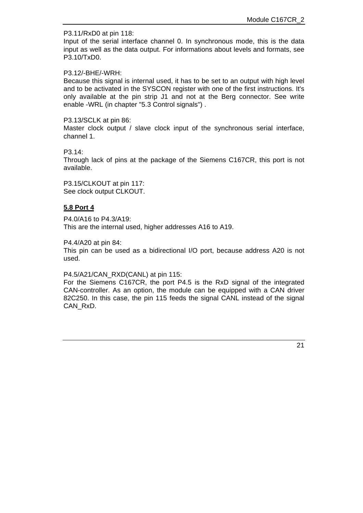P3.11/RxD0 at pin 118:

Input of the serial interface channel 0. In synchronous mode, this is the data input as well as the data output. For informations about levels and formats, see P3.10/TxD0.

#### P3.12/-BHE/-WRH:

Because this signal is internal used, it has to be set to an output with high level and to be activated in the SYSCON register with one of the first instructions. It's only available at the pin strip J1 and not at the Berg connector. See write enable -WRL (in chapter "5.3 Control signals") .

## P3.13/SCLK at pin 86:

Master clock output / slave clock input of the synchronous serial interface, channel 1.

## P3.14:

Through lack of pins at the package of the Siemens C167CR, this port is not available.

P3.15/CLKOUT at pin 117: See clock output CLKOUT.

# **5.8 Port 4**

P4.0/A16 to P4.3/A19: This are the internal used, higher addresses A16 to A19.

P4.4/A20 at pin 84:

This pin can be used as a bidirectional I/O port, because address A20 is not used.

P4.5/A21/CAN\_RXD(CANL) at pin 115:

For the Siemens C167CR, the port P4.5 is the RxD signal of the integrated CAN-controller. As an option, the module can be equipped with a CAN driver 82C250. In this case, the pin 115 feeds the signal CANL instead of the signal CAN\_RxD.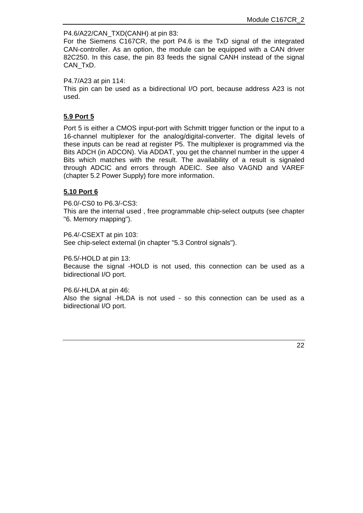#### P4.6/A22/CAN\_TXD(CANH) at pin 83:

For the Siemens C167CR, the port P4.6 is the TxD signal of the integrated CAN-controller. As an option, the module can be equipped with a CAN driver 82C250. In this case, the pin 83 feeds the signal CANH instead of the signal CAN\_TxD.

P4.7/A23 at pin 114:

This pin can be used as a bidirectional I/O port, because address A23 is not used.

## **5.9 Port 5**

Port 5 is either a CMOS input-port with Schmitt trigger function or the input to a 16-channel multiplexer for the analog/digital-converter. The digital levels of these inputs can be read at register P5. The multiplexer is programmed via the Bits ADCH (in ADCON). Via ADDAT, you get the channel number in the upper 4 Bits which matches with the result. The availability of a result is signaled through ADCIC and errors through ADEIC. See also VAGND and VAREF (chapter 5.2 Power Supply) fore more information.

## **5.10 Port 6**

P6.0/-CS0 to P6.3/-CS3:

This are the internal used , free programmable chip-select outputs (see chapter "6. Memory mapping").

P6.4/-CSEXT at pin 103: See chip-select external (in chapter "5.3 Control signals").

P6.5/-HOLD at pin 13: Because the signal -HOLD is not used, this connection can be used as a bidirectional I/O port.

P6.6/-HLDA at pin 46: Also the signal -HLDA is not used - so this connection can be used as a bidirectional I/O port.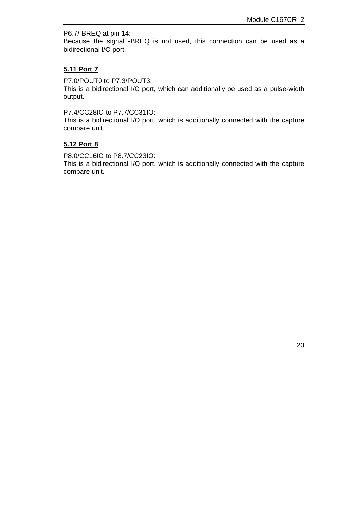P6.7/-BREQ at pin 14: Because the signal -BREQ is not used, this connection can be used as a bidirectional I/O port.

#### **5.11 Port 7**

P7.0/POUT0 to P7.3/POUT3:

This is a bidirectional I/O port, which can additionally be used as a pulse-width output.

P7.4/CC28IO to P7.7/CC31IO:

This is a bidirectional I/O port, which is additionally connected with the capture compare unit.

## **5.12 Port 8**

P8.0/CC16IO to P8.7/CC23IO:

This is a bidirectional I/O port, which is additionally connected with the capture compare unit.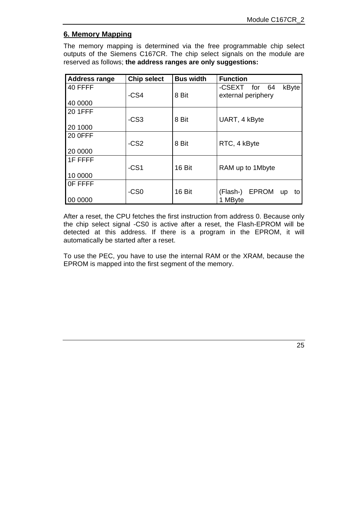# **6. Memory Mapping**

The memory mapping is determined via the free programmable chip select outputs of the Siemens C167CR. The chip select signals on the module are reserved as follows; **the address ranges are only suggestions:**

| <b>Address range</b> | <b>Chip select</b> | <b>Bus width</b> | <b>Function</b>                      |
|----------------------|--------------------|------------------|--------------------------------------|
| 40 FFFF              |                    |                  | -CSEXT for 64<br>kByte               |
|                      | $-CS4$             | 8 Bit            | external periphery                   |
| 40 0000              |                    |                  |                                      |
| <b>20 1FFF</b>       |                    |                  |                                      |
|                      | $-CS3$             | 8 Bit            | UART, 4 kByte                        |
| 20 1000              |                    |                  |                                      |
| <b>20 OFFF</b>       |                    |                  |                                      |
|                      | $-CS2$             | 8 Bit            | RTC, 4 kByte                         |
| 20 0000              |                    |                  |                                      |
| 1F FFFF              |                    |                  |                                      |
|                      | $-CS1$             | 16 Bit           | RAM up to 1Mbyte                     |
| 10 0000              |                    |                  |                                      |
| OF FFFF              |                    |                  |                                      |
|                      | $-CS0$             | <b>16 Bit</b>    | <b>EPROM</b><br>(Flash-)<br>up<br>to |
| 00 0000              |                    |                  | 1 MByte                              |

After a reset, the CPU fetches the first instruction from address 0. Because only the chip select signal -CS0 is active after a reset, the Flash-EPROM will be detected at this address. If there is a program in the EPROM, it will automatically be started after a reset.

To use the PEC, you have to use the internal RAM or the XRAM, because the EPROM is mapped into the first segment of the memory.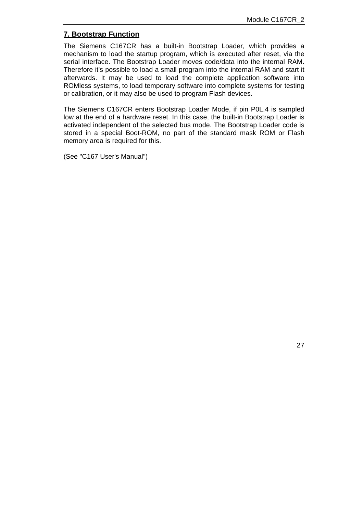# **7. Bootstrap Function**

The Siemens C167CR has a built-in Bootstrap Loader, which provides a mechanism to load the startup program, which is executed after reset, via the serial interface. The Bootstrap Loader moves code/data into the internal RAM. Therefore it's possible to load a small program into the internal RAM and start it afterwards. It may be used to load the complete application software into ROMless systems, to load temporary software into complete systems for testing or calibration, or it may also be used to program Flash devices.

The Siemens C167CR enters Bootstrap Loader Mode, if pin P0L.4 is sampled low at the end of a hardware reset. In this case, the built-in Bootstrap Loader is activated independent of the selected bus mode. The Bootstrap Loader code is stored in a special Boot-ROM, no part of the standard mask ROM or Flash memory area is required for this.

(See "C167 User's Manual")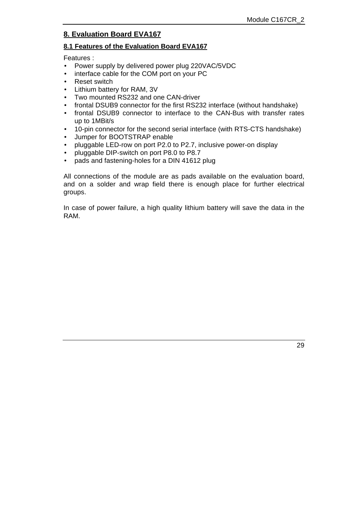# **8. Evaluation Board EVA167**

# **8.1 Features of the Evaluation Board EVA167**

Features :

- Power supply by delivered power plug 220VAC/5VDC
- interface cable for the COM port on your PC
- Reset switch
- Lithium battery for RAM, 3V
- Two mounted RS232 and one CAN-driver
- frontal DSUB9 connector for the first RS232 interface (without handshake)
- frontal DSUB9 connector to interface to the CAN-Bus with transfer rates up to 1MBit/s
- 10-pin connector for the second serial interface (with RTS-CTS handshake)
- Jumper for BOOTSTRAP enable
- pluggable LED-row on port P2.0 to P2.7, inclusive power-on display
- pluggable DIP-switch on port P8.0 to P8.7
- pads and fastening-holes for a DIN 41612 plug

All connections of the module are as pads available on the evaluation board, and on a solder and wrap field there is enough place for further electrical groups.

In case of power failure, a high quality lithium battery will save the data in the RAM.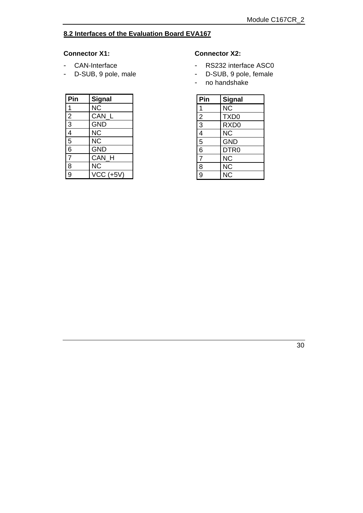# **8.2 Interfaces of the Evaluation Board EVA167**

#### **Connector X1:**

- CAN-Interface
- D-SUB, 9 pole, male

| Pin            | <b>Signal</b> |
|----------------|---------------|
| 1              | <b>NC</b>     |
| $\overline{2}$ | CAN L         |
| $\overline{3}$ | <b>GND</b>    |
| $\overline{4}$ | <b>NC</b>     |
| $\overline{5}$ | <b>NC</b>     |
| $\overline{6}$ | <b>GND</b>    |
| $\overline{7}$ | CAN H         |
| 8              | <b>NC</b>     |
| $\overline{9}$ | $VCC$ (+5V)   |

#### **Connector X2:**

- RS232 interface ASC0
- D-SUB, 9 pole, female
- no handshake

| Pin            | <b>Signal</b>    |
|----------------|------------------|
| 1              | <b>NC</b>        |
| $\frac{2}{3}$  | TXD <sub>0</sub> |
|                | RXD <sub>0</sub> |
| $\overline{4}$ | <b>NC</b>        |
| $\overline{5}$ | <b>GND</b>       |
| $\overline{6}$ | DTR <sub>0</sub> |
| $\overline{7}$ | <b>NC</b>        |
| 8              | <b>NC</b>        |
| $\overline{g}$ | <b>NC</b>        |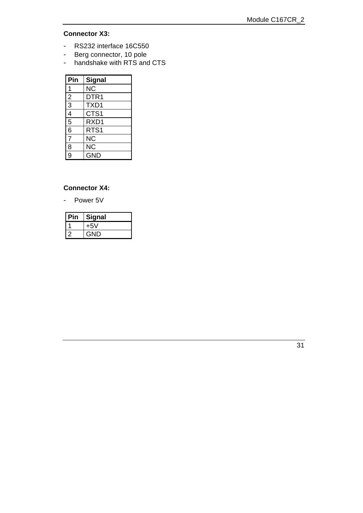## **Connector X3:**

- RS232 interface 16C550
- Berg connector, 10 pole
- handshake with RTS and CTS

| Pin            | Signal           |
|----------------|------------------|
| 1              | <b>NC</b>        |
| $\frac{2}{3}$  | DTR <sub>1</sub> |
|                | TXD1             |
| 4              | CTS <sub>1</sub> |
| $\overline{5}$ | RXD1             |
| $\overline{6}$ | RTS1             |
| $\overline{7}$ | <b>NC</b>        |
| 8              | <b>NC</b>        |
| $\overline{9}$ | <b>GND</b>       |

# **Connector X4:**

- Power 5V

| <b>Signal</b> |
|---------------|
| +5V           |
| GND           |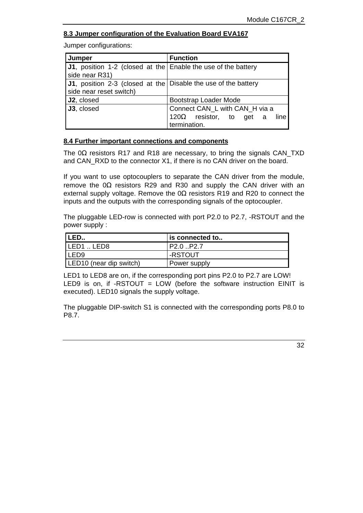# **8.3 Jumper configuration of the Evaluation Board EVA167**

Jumper configurations:

| Jumper                                                                                            | <b>Function</b>                                         |
|---------------------------------------------------------------------------------------------------|---------------------------------------------------------|
| J1, position 1-2 (closed at the Enable the use of the battery<br>side near R31)                   |                                                         |
| <b>J1</b> , position 2-3 (closed at the Disable the use of the battery<br>side near reset switch) |                                                         |
| J2, closed                                                                                        | Bootstrap Loader Mode                                   |
| J3, closed                                                                                        | Connect CAN_L with CAN_H via a                          |
|                                                                                                   | 120 $\Omega$ resistor, to get a<br>line<br>termination. |

## **8.4 Further important connections and components**

The 0Ω resistors R17 and R18 are necessary, to bring the signals CAN\_TXD and CAN\_RXD to the connector X1, if there is no CAN driver on the board.

If you want to use optocouplers to separate the CAN driver from the module, remove the  $0Ω$  resistors R29 and R30 and supply the CAN driver with an external supply voltage. Remove the  $0\Omega$  resistors R19 and R20 to connect the inputs and the outputs with the corresponding signals of the optocoupler.

The pluggable LED-row is connected with port P2.0 to P2.7, -RSTOUT and the power supply :

| 'LED                                | is connected to                    |
|-------------------------------------|------------------------------------|
| ILED1LED8                           | P <sub>2.0</sub> .P <sub>2.7</sub> |
| 'LED9                               | -RSTOUT                            |
| LED <sub>10</sub> (near dip switch) | Power supply                       |

LED1 to LED8 are on, if the corresponding port pins P2.0 to P2.7 are LOW! LED9 is on, if -RSTOUT = LOW (before the software instruction EINIT is executed). LED10 signals the supply voltage.

The pluggable DIP-switch S1 is connected with the corresponding ports P8.0 to P8.7.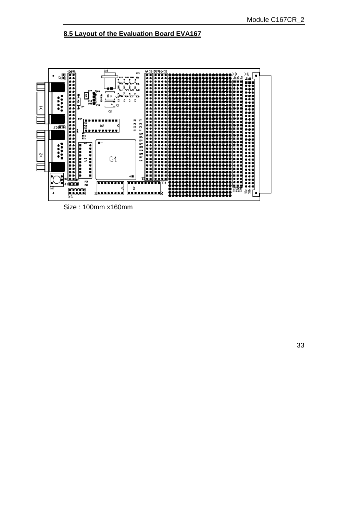# **8.5 Layout of the Evaluation Board EVA167**



Size : 100mm x160mm

33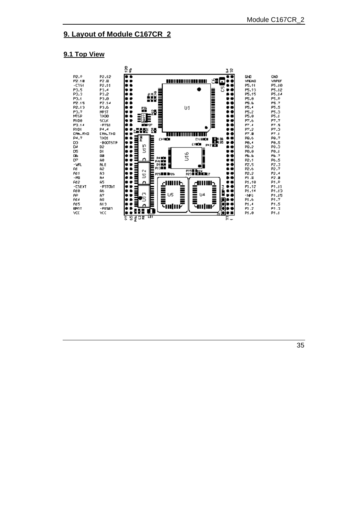# **9. Layout of Module C167CR\_2**

#### **9.1 Top View**



35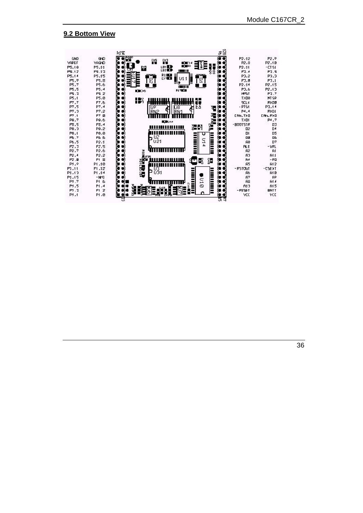#### **9.2 Bottom View**

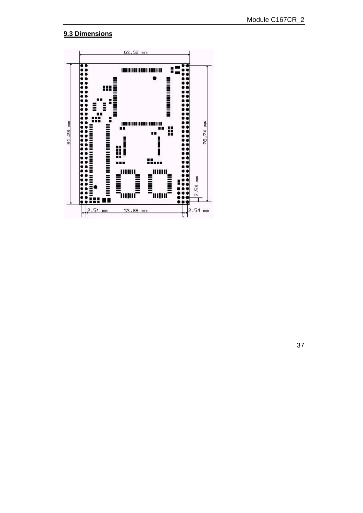# **9.3 Dimensions**

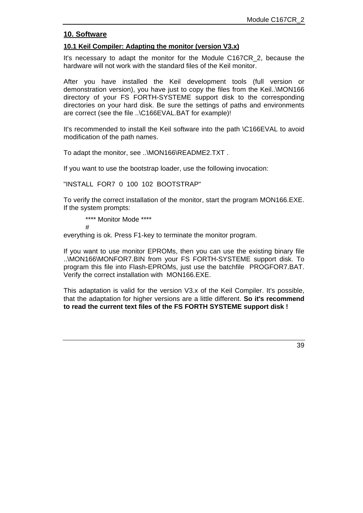# **10. Software**

# **10.1 Keil Compiler: Adapting the monitor (version V3.x)**

It's necessary to adapt the monitor for the Module C167CR\_2, because the hardware will not work with the standard files of the Keil monitor.

After you have installed the Keil development tools (full version or demonstration version), you have just to copy the files from the Keil..\MON166 directory of your FS FORTH-SYSTEME support disk to the corresponding directories on your hard disk. Be sure the settings of paths and environments are correct (see the file ..\C166EVAL.BAT for example)!

It's recommended to install the Keil software into the path \C166EVAL to avoid modification of the path names.

To adapt the monitor, see ..\MON166\README2.TXT.

If you want to use the bootstrap loader, use the following invocation:

"INSTALL FOR7 0 100 102 BOOTSTRAP"

To verify the correct installation of the monitor, start the program MON166.EXE. If the system prompts:

\*\*\*\* Monitor Mode \*\*\*\*

#

everything is ok. Press F1-key to terminate the monitor program.

If you want to use monitor EPROMs, then you can use the existing binary file ..\MON166\MONFOR7.BIN from your FS FORTH-SYSTEME support disk. To program this file into Flash-EPROMs, just use the batchfile PROGFOR7.BAT. Verify the correct installation with MON166.EXE.

This adaptation is valid for the version V3.x of the Keil Compiler. It's possible, that the adaptation for higher versions are a little different. **So it's recommend to read the current text files of the FS FORTH SYSTEME support disk !**

39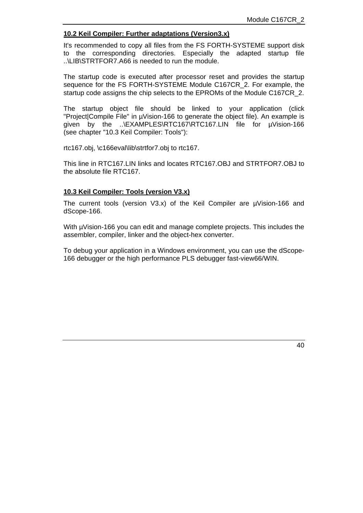#### **10.2 Keil Compiler: Further adaptations (Version3.x)**

It's recommended to copy all files from the FS FORTH-SYSTEME support disk to the corresponding directories. Especially the adapted startup file ..\LIB\STRTFOR7.A66 is needed to run the module.

The startup code is executed after processor reset and provides the startup sequence for the FS FORTH-SYSTEME Module C167CR\_2. For example, the startup code assigns the chip selects to the EPROMs of the Module C167CR\_2.

The startup object file should be linked to your application (click "Project|Compile File" in µVision-166 to generate the object file). An example is given by the ..\EXAMPLES\RTC167\RTC167.LIN file for µVision-166 (see chapter "10.3 Keil Compiler: Tools"):

rtc167.obj, \c166eval\lib\strtfor7.obj to rtc167.

This line in RTC167.LIN links and locates RTC167.OBJ and STRTFOR7.OBJ to the absolute file RTC167.

#### **10.3 Keil Compiler: Tools (version V3.x)**

The current tools (version V3.x) of the Keil Compiler are µVision-166 and dScope-166.

With  $\mu$ Vision-166 you can edit and manage complete projects. This includes the assembler, compiler, linker and the object-hex converter.

To debug your application in a Windows environment, you can use the dScope-166 debugger or the high performance PLS debugger fast-view66/WIN.

40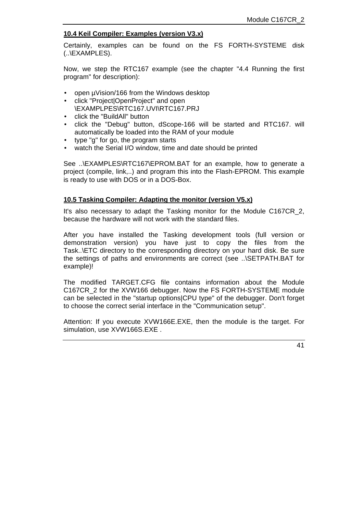## **10.4 Keil Compiler: Examples (version V3.x)**

Certainly, examples can be found on the FS FORTH-SYSTEME disk (..\EXAMPLES).

Now, we step the RTC167 example (see the chapter "4.4 Running the first program" for description):

- open µVision/166 from the Windows desktop
- click "Project|OpenProject" and open \EXAMPLPES\RTC167.UVI\RTC167.PRJ
- click the "BuildAll" button
- click the "Debug" button, dScope-166 will be started and RTC167. will automatically be loaded into the RAM of your module
- type "g" for go, the program starts
- watch the Serial I/O window, time and date should be printed

See ..\EXAMPLES\RTC167\EPROM.BAT for an example, how to generate a project (compile, link,..) and program this into the Flash-EPROM. This example is ready to use with DOS or in a DOS-Box.

#### **10.5 Tasking Compiler: Adapting the monitor (version V5.x)**

It's also necessary to adapt the Tasking monitor for the Module C167CR 2. because the hardware will not work with the standard files.

After you have installed the Tasking development tools (full version or demonstration version) you have just to copy the files from the Task..\ETC directory to the corresponding directory on your hard disk. Be sure the settings of paths and environments are correct (see ..\SETPATH.BAT for example)!

The modified TARGET.CFG file contains information about the Module C167CR\_2 for the XVW166 debugger. Now the FS FORTH-SYSTEME module can be selected in the "startup options|CPU type" of the debugger. Don't forget to choose the correct serial interface in the "Communication setup".

Attention: If you execute XVW166E.EXE, then the module is the target. For simulation, use XVW166S.EXE .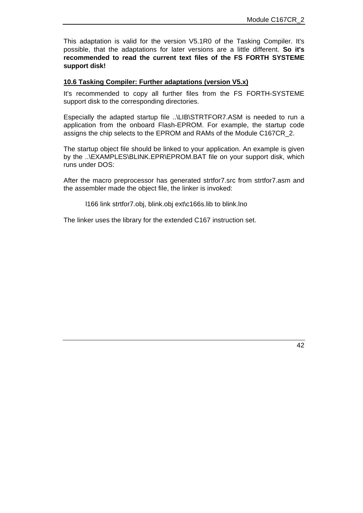This adaptation is valid for the version V5.1R0 of the Tasking Compiler. It's possible, that the adaptations for later versions are a little different. **So it's recommended to read the current text files of the FS FORTH SYSTEME support disk!**

#### **10.6 Tasking Compiler: Further adaptations (version V5.x)**

It's recommended to copy all further files from the FS FORTH-SYSTEME support disk to the corresponding directories.

Especially the adapted startup file ..\LIB\STRTFOR7.ASM is needed to run a application from the onboard Flash-EPROM. For example, the startup code assigns the chip selects to the EPROM and RAMs of the Module C167CR\_2.

The startup object file should be linked to your application. An example is given by the ..\EXAMPLES\BLINK.EPR\EPROM.BAT file on your support disk, which runs under DOS:

After the macro preprocessor has generated strtfor7.src from strtfor7.asm and the assembler made the object file, the linker is invoked:

l166 link strtfor7.obj, blink.obj ext\c166s.lib to blink.lno

The linker uses the library for the extended C167 instruction set.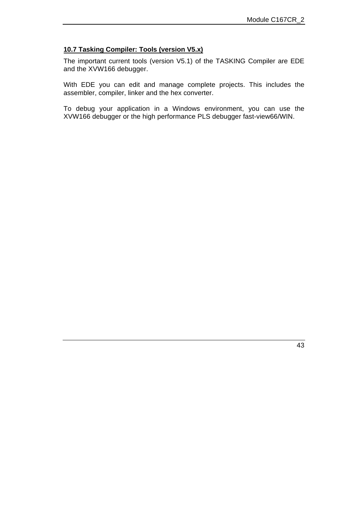## **10.7 Tasking Compiler: Tools (version V5.x)**

The important current tools (version V5.1) of the TASKING Compiler are EDE and the XVW166 debugger.

With EDE you can edit and manage complete projects. This includes the assembler, compiler, linker and the hex converter.

To debug your application in a Windows environment, you can use the XVW166 debugger or the high performance PLS debugger fast-view66/WIN.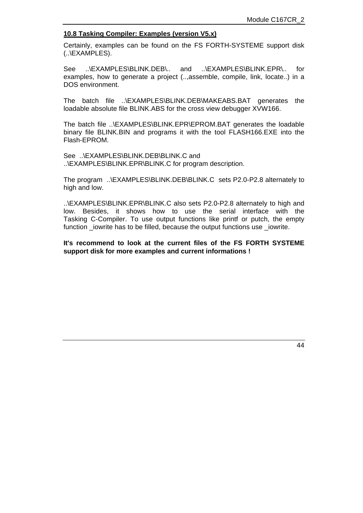#### **10.8 Tasking Compiler: Examples (version V5.x)**

Certainly, examples can be found on the FS FORTH-SYSTEME support disk (..\EXAMPLES).

See ..\EXAMPLES\BLINK.DEB\.. and ..\EXAMPLES\BLINK.EPR\.. for examples, how to generate a project (..,assemble, compile, link, locate..) in a DOS environment.

The batch file ..\EXAMPLES\BLINK.DEB\MAKEABS.BAT generates the loadable absolute file BLINK.ABS for the cross view debugger XVW166.

The batch file ..\EXAMPLES\BLINK.EPR\EPROM.BAT generates the loadable binary file BLINK.BIN and programs it with the tool FLASH166.EXE into the Flash-EPROM.

See ..\EXAMPLES\BLINK.DEB\BLINK.C and ..\EXAMPLES\BLINK.EPR\BLINK.C for program description.

The program ..\EXAMPLES\BLINK.DEB\BLINK.C sets P2.0-P2.8 alternately to high and low.

..\EXAMPLES\BLINK.EPR\BLINK.C also sets P2.0-P2.8 alternately to high and low. Besides, it shows how to use the serial interface with the Tasking C-Compiler. To use output functions like printf or putch, the empty function \_iowrite has to be filled, because the output functions use \_iowrite.

**It's recommend to look at the current files of the FS FORTH SYSTEME support disk for more examples and current informations !**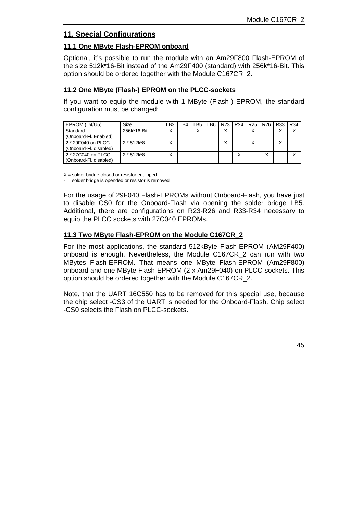# **11. Special Configurations**

# **11.1 One MByte Flash-EPROM onboard**

Optional, it's possible to run the module with an Am29F800 Flash-EPROM of the size 512k\*16-Bit instead of the Am29F400 (standard) with 256k\*16-Bit. This option should be ordered together with the Module C167CR\_2.

## **11.2 One MByte (Flash-) EPROM on the PLCC-sockets**

If you want to equip the module with 1 MByte (Flash-) EPROM, the standard configuration must be changed:

| EPROM (U4/U5)          | Size         | ∟B3 | LB4 | LB <sub>5</sub>   | LB <sub>6</sub> | R <sub>23</sub> | <b>R24</b> | R <sub>25</sub> | R <sub>26</sub> | R33 | <b>R34</b> |
|------------------------|--------------|-----|-----|-------------------|-----------------|-----------------|------------|-----------------|-----------------|-----|------------|
| Standard               | 256k*16-Bit  | v   | -   | $\checkmark$<br>⋏ | -               | $\checkmark$    | -          | Χ               |                 | Χ   |            |
| (Onboard-Fl. Enabled)  |              |     |     |                   |                 |                 |            |                 |                 |     |            |
| 2 * 29F040 on PLCC     | $2 * 512k*8$ | v   | -   | -                 |                 |                 |            | v               |                 | X   |            |
| (Onboard-Fl. disabled) |              |     |     |                   |                 |                 |            |                 |                 |     |            |
| 2 * 27C040 on PLCC     | $2 * 512k*8$ | v   | -   | -                 |                 |                 |            | -               |                 | -   |            |
| (Onboard-Fl. disabled) |              |     |     |                   |                 |                 |            |                 |                 |     |            |

 $X =$  solder bridge closed or resistor equipped

- = solder bridge is opended or resistor is removed

For the usage of 29F040 Flash-EPROMs without Onboard-Flash, you have just to disable CS0 for the Onboard-Flash via opening the solder bridge LB5. Additional, there are configurations on R23-R26 and R33-R34 necessary to equip the PLCC sockets with 27C040 EPROMs.

# **11.3 Two MByte Flash-EPROM on the Module C167CR\_2**

For the most applications, the standard 512kByte Flash-EPROM (AM29F400) onboard is enough. Nevertheless, the Module C167CR\_2 can run with two MBytes Flash-EPROM. That means one MByte Flash-EPROM (Am29F800) onboard and one MByte Flash-EPROM (2 x Am29F040) on PLCC-sockets. This option should be ordered together with the Module C167CR\_2.

Note, that the UART 16C550 has to be removed for this special use, because the chip select -CS3 of the UART is needed for the Onboard-Flash. Chip select -CS0 selects the Flash on PLCC-sockets.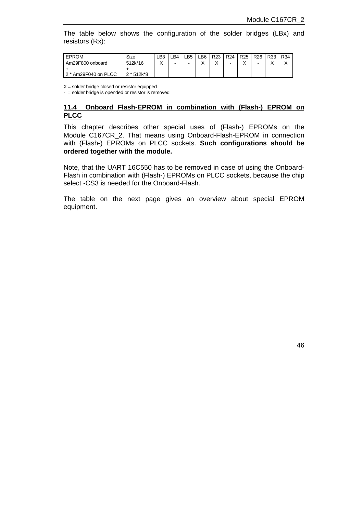The table below shows the configuration of the solder bridges (LBx) and resistors (Rx):

| <b>EPROM</b>         | Size       | LB3    | ∟B4 | LB5 | LB6.      | R <sub>23</sub> | R <sub>24</sub> | R <sub>25</sub> | R <sub>26</sub> | R33 | R34          |
|----------------------|------------|--------|-----|-----|-----------|-----------------|-----------------|-----------------|-----------------|-----|--------------|
| Am29F800 onboard     | 512k*16    | v<br>∧ | -   | -   | $\lambda$ | v<br>⌒          |                 |                 | -               |     | $\cdot$<br>⌒ |
|                      |            |        |     |     |           |                 |                 |                 |                 |     |              |
| 2 * Am29F040 on PLCC | 2 * 512k*8 |        |     |     |           |                 |                 |                 |                 |     |              |

 $X =$  solder bridge closed or resistor equipped

 $-$  = solder bridge is opended or resistor is removed

#### **11.4 Onboard Flash-EPROM in combination with (Flash-) EPROM on PLCC**

This chapter describes other special uses of (Flash-) EPROMs on the Module C167CR\_2. That means using Onboard-Flash-EPROM in connection with (Flash-) EPROMs on PLCC sockets. **Such configurations should be ordered together with the module.**

Note, that the UART 16C550 has to be removed in case of using the Onboard-Flash in combination with (Flash-) EPROMs on PLCC sockets, because the chip select -CS3 is needed for the Onboard-Flash.

The table on the next page gives an overview about special EPROM equipment.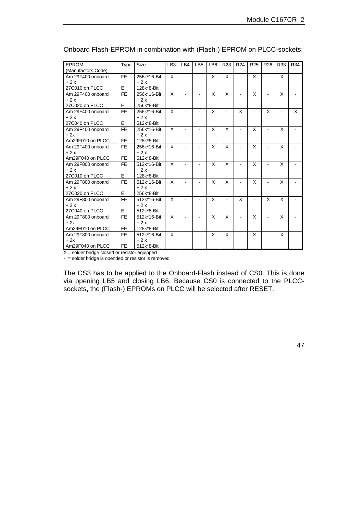| <b>EPROM</b>       | <b>Type</b> | <b>Size</b> | LB <sub>3</sub> | LB4            | LB <sub>5</sub> | LB <sub>6</sub> | R <sub>23</sub> | R <sub>24</sub> | R <sub>25</sub> | R <sub>26</sub> | R33 | R34 |
|--------------------|-------------|-------------|-----------------|----------------|-----------------|-----------------|-----------------|-----------------|-----------------|-----------------|-----|-----|
| (Manufactors Code) |             |             |                 |                |                 |                 |                 |                 |                 |                 |     |     |
| Am 29F400 onboard  | <b>FE</b>   | 256k*16-Bit | X               | $\blacksquare$ |                 | X               | X               | $\blacksquare$  | X               | $\blacksquare$  | X   |     |
| $+2x$              |             | $+2x$       |                 |                |                 |                 |                 |                 |                 |                 |     |     |
| 27C010 on PLCC     | E           | 128k*8-Bit  |                 |                |                 |                 |                 |                 |                 |                 |     |     |
| Am 29F400 onboard  | <b>FE</b>   | 256k*16-Bit | X               |                |                 | X               | X               |                 | X               |                 | X   |     |
| $+2x$              |             | $+2x$       |                 |                |                 |                 |                 |                 |                 |                 |     |     |
| 27C020 on PLCC     | E           | 256k*8-Bit  |                 |                |                 |                 |                 |                 |                 |                 |     |     |
| Am 29F400 onboard  | <b>FE</b>   | 256k*16-Bit | X               |                |                 | X               |                 | X               |                 | X               |     | X   |
| $+2x$              |             | $+2x$       |                 |                |                 |                 |                 |                 |                 |                 |     |     |
| 27C040 on PLCC     | E           | 512k*8-Bit  |                 |                |                 |                 |                 |                 |                 |                 |     |     |
| Am 29F400 onboard  | <b>FE</b>   | 256k*16-Bit | X               |                |                 | X               | X               |                 | X               |                 | X   |     |
| $+2x$              |             | $+2x$       |                 |                |                 |                 |                 |                 |                 |                 |     |     |
| Am29F010 on PLCC   | <b>FE</b>   | 128k*8-Bit  |                 |                |                 |                 |                 |                 |                 |                 |     |     |
| Am 29F400 onboard  | <b>FE</b>   | 256k*16-Bit | X               |                |                 | X               | X               |                 | X               |                 | X   |     |
| $+2x$              |             | $+2x$       |                 |                |                 |                 |                 |                 |                 |                 |     |     |
| Am29F040 on PLCC   | <b>FE</b>   | 512k*8-Bit  |                 |                |                 |                 |                 |                 |                 |                 |     |     |
| Am 29F800 onboard  | <b>FE</b>   | 512k*16-Bit | X               |                |                 | X               | X               |                 | X               |                 | X   |     |
| $+2x$              |             | $+2x$       |                 |                |                 |                 |                 |                 |                 |                 |     |     |
| 27C010 on PLCC     | E           | 128k*8-Bit  |                 |                |                 |                 |                 |                 |                 |                 |     |     |
| Am 29F800 onboard  | <b>FE</b>   | 512k*16-Bit | X               |                |                 | X               | X               |                 | X               |                 | X   |     |
| $+2x$              |             | $+2x$       |                 |                |                 |                 |                 |                 |                 |                 |     |     |
| 27C020 on PLCC     | E           | 256k*8-Bit  |                 |                |                 |                 |                 |                 |                 |                 |     |     |
| Am 29F800 onboard  | <b>FE</b>   | 512k*16-Bit | X               |                |                 | X               |                 | X               |                 | X               | X   |     |
| $+2x$              |             | $+2x$       |                 |                |                 |                 |                 |                 |                 |                 |     |     |
| 27C040 on PLCC     | E           | 512k*8-Bit  |                 |                |                 |                 |                 |                 |                 |                 |     |     |
| Am 29F800 onboard  | <b>FE</b>   | 512k*16-Bit | X               |                |                 | X               | X               |                 | X               |                 | X   |     |
| $+2x$              |             | $+2x$       |                 |                |                 |                 |                 |                 |                 |                 |     |     |
| Am29F010 on PLCC   | <b>FE</b>   | 128k*8-Bit  |                 |                |                 |                 |                 |                 |                 |                 |     |     |
| Am 29F800 onboard  | <b>FE</b>   | 512k*16-Bit | X               |                |                 | X               | X               |                 | X               | $\blacksquare$  | X   |     |
| $+2x$              |             | $+2x$       |                 |                |                 |                 |                 |                 |                 |                 |     |     |
| Am29F040 on PLCC   | <b>FE</b>   | 512k*8-Bit  |                 |                |                 |                 |                 |                 |                 |                 |     |     |

Onboard Flash-EPROM in combination with (Flash-) EPROM on PLCC-sockets:

 $X =$  solder bridge closed or resistor equipped

- = solder bridge is opended or resistor is removed

The CS3 has to be applied to the Onboard-Flash instead of CS0. This is done via opening LB5 and closing LB6. Because CS0 is connected to the PLCCsockets, the (Flash-) EPROMs on PLCC will be selected after RESET.

47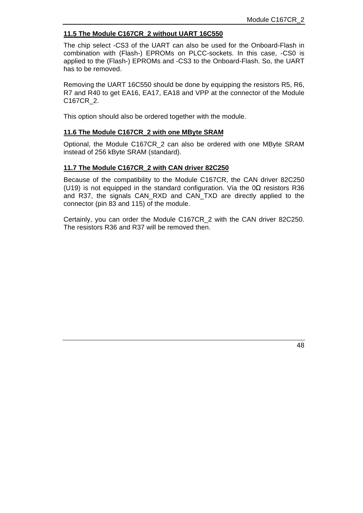#### **11.5 The Module C167CR\_2 without UART 16C550**

The chip select -CS3 of the UART can also be used for the Onboard-Flash in combination with (Flash-) EPROMs on PLCC-sockets. In this case, -CS0 is applied to the (Flash-) EPROMs and -CS3 to the Onboard-Flash. So, the UART has to be removed.

Removing the UART 16C550 should be done by equipping the resistors R5, R6, R7 and R40 to get EA16, EA17, EA18 and VPP at the connector of the Module C167CR\_2.

This option should also be ordered together with the module.

#### **11.6 The Module C167CR\_2 with one MByte SRAM**

Optional, the Module C167CR\_2 can also be ordered with one MByte SRAM instead of 256 kByte SRAM (standard).

#### **11.7 The Module C167CR\_2 with CAN driver 82C250**

Because of the compatibility to the Module C167CR, the CAN driver 82C250 (U19) is not equipped in the standard configuration. Via the  $0\Omega$  resistors R36 and R37, the signals CAN\_RXD and CAN\_TXD are directly applied to the connector (pin 83 and 115) of the module.

Certainly, you can order the Module C167CR\_2 with the CAN driver 82C250. The resistors R36 and R37 will be removed then.